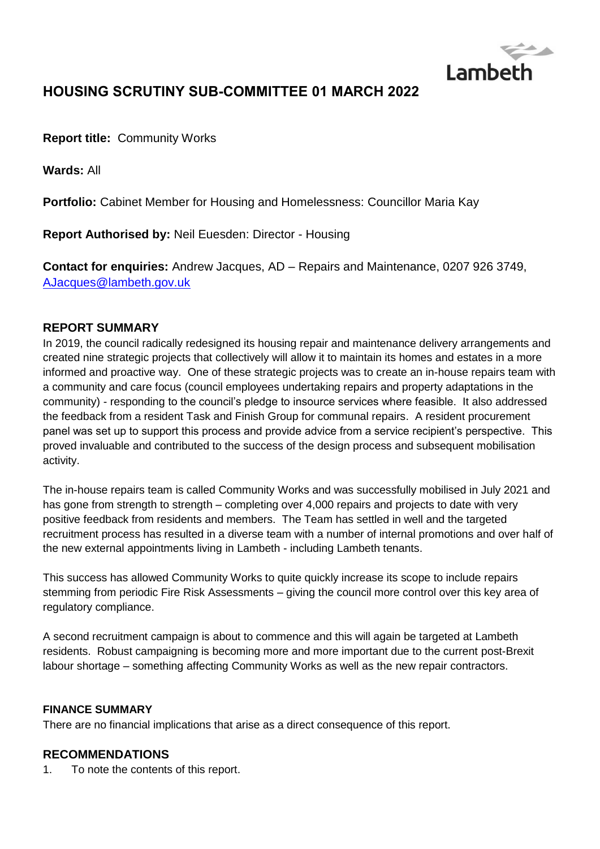

# **HOUSING SCRUTINY SUB-COMMITTEE 01 MARCH 2022**

**Report title:** Community Works

**Wards:** All

**Portfolio:** Cabinet Member for Housing and Homelessness: Councillor Maria Kay

**Report Authorised by:** Neil Euesden: Director - Housing

**Contact for enquiries:** Andrew Jacques, AD – Repairs and Maintenance, 0207 926 3749, [AJacques@lambeth.gov.uk](mailto:AJacques@lambeth.gov.uk)

### **REPORT SUMMARY**

In 2019, the council radically redesigned its housing repair and maintenance delivery arrangements and created nine strategic projects that collectively will allow it to maintain its homes and estates in a more informed and proactive way. One of these strategic projects was to create an in-house repairs team with a community and care focus (council employees undertaking repairs and property adaptations in the community) - responding to the council's pledge to insource services where feasible. It also addressed the feedback from a resident Task and Finish Group for communal repairs. A resident procurement panel was set up to support this process and provide advice from a service recipient's perspective. This proved invaluable and contributed to the success of the design process and subsequent mobilisation activity.

The in-house repairs team is called Community Works and was successfully mobilised in July 2021 and has gone from strength to strength – completing over 4,000 repairs and projects to date with very positive feedback from residents and members. The Team has settled in well and the targeted recruitment process has resulted in a diverse team with a number of internal promotions and over half of the new external appointments living in Lambeth - including Lambeth tenants.

This success has allowed Community Works to quite quickly increase its scope to include repairs stemming from periodic Fire Risk Assessments – giving the council more control over this key area of regulatory compliance.

A second recruitment campaign is about to commence and this will again be targeted at Lambeth residents. Robust campaigning is becoming more and more important due to the current post-Brexit labour shortage – something affecting Community Works as well as the new repair contractors.

### **FINANCE SUMMARY**

There are no financial implications that arise as a direct consequence of this report.

### **RECOMMENDATIONS**

1. To note the contents of this report.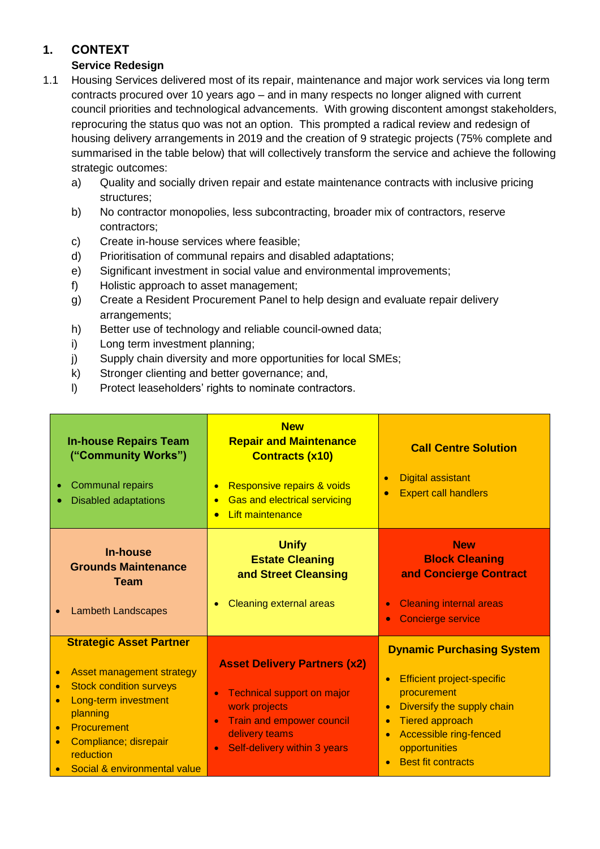# **1. CONTEXT**

# **Service Redesign**

- 1.1 Housing Services delivered most of its repair, maintenance and major work services via long term contracts procured over 10 years ago – and in many respects no longer aligned with current council priorities and technological advancements. With growing discontent amongst stakeholders, reprocuring the status quo was not an option. This prompted a radical review and redesign of housing delivery arrangements in 2019 and the creation of 9 strategic projects (75% complete and summarised in the table below) that will collectively transform the service and achieve the following strategic outcomes:
	- a) Quality and socially driven repair and estate maintenance contracts with inclusive pricing structures;
	- b) No contractor monopolies, less subcontracting, broader mix of contractors, reserve contractors;
	- c) Create in-house services where feasible;
	- d) Prioritisation of communal repairs and disabled adaptations;
	- e) Significant investment in social value and environmental improvements;
	- f) Holistic approach to asset management;
	- g) Create a Resident Procurement Panel to help design and evaluate repair delivery arrangements;
	- h) Better use of technology and reliable council-owned data;
	- i) Long term investment planning;
	- j) Supply chain diversity and more opportunities for local SMEs;
	- k) Stronger clienting and better governance; and,
	- l) Protect leaseholders' rights to nominate contractors.

| <b>In-house Repairs Team</b><br>("Community Works")<br><b>Communal repairs</b><br><b>Disabled adaptations</b>                                                                                                                       | <b>New</b><br><b>Repair and Maintenance</b><br><b>Contracts (x10)</b><br>Responsive repairs & voids<br><b>Gas and electrical servicing</b><br><b>Lift maintenance</b>                                                  | <b>Call Centre Solution</b><br><b>Digital assistant</b><br>$\bullet$<br><b>Expert call handlers</b><br>$\bullet$                                                                                                                                                                      |
|-------------------------------------------------------------------------------------------------------------------------------------------------------------------------------------------------------------------------------------|------------------------------------------------------------------------------------------------------------------------------------------------------------------------------------------------------------------------|---------------------------------------------------------------------------------------------------------------------------------------------------------------------------------------------------------------------------------------------------------------------------------------|
| <b>In-house</b><br><b>Grounds Maintenance</b><br><b>Team</b><br><b>Lambeth Landscapes</b>                                                                                                                                           | <b>Unify</b><br><b>Estate Cleaning</b><br>and Street Cleansing<br><b>Cleaning external areas</b>                                                                                                                       | <b>New</b><br><b>Block Cleaning</b><br>and Concierge Contract<br><b>Cleaning internal areas</b><br>$\bullet$<br><b>Concierge service</b><br>$\bullet$                                                                                                                                 |
| <b>Strategic Asset Partner</b><br>Asset management strategy<br><b>Stock condition surveys</b><br>$\bullet$<br>Long-term investment<br>planning<br>Procurement<br>Compliance; disrepair<br>reduction<br>Social & environmental value | <b>Asset Delivery Partners (x2)</b><br><b>Technical support on major</b><br>$\bullet$<br>work projects<br><b>Train and empower council</b><br>$\bullet$<br>delivery teams<br>Self-delivery within 3 years<br>$\bullet$ | <b>Dynamic Purchasing System</b><br><b>Efficient project-specific</b><br>$\bullet$<br>procurement<br>Diversify the supply chain<br>$\bullet$<br><b>Tiered approach</b><br>$\bullet$<br>Accessible ring-fenced<br>$\bullet$<br>opportunities<br><b>Best fit contracts</b><br>$\bullet$ |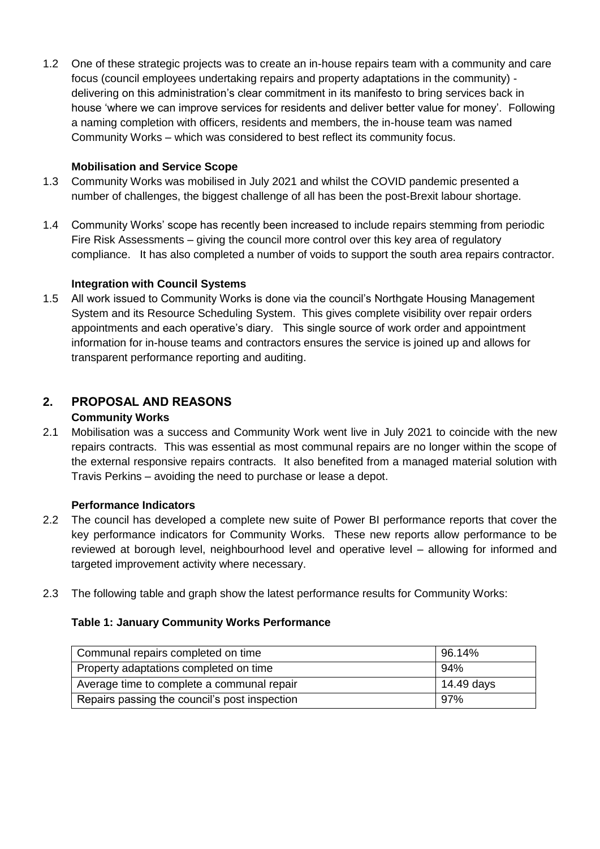1.2 One of these strategic projects was to create an in-house repairs team with a community and care focus (council employees undertaking repairs and property adaptations in the community) delivering on this administration's clear commitment in its manifesto to bring services back in house 'where we can improve services for residents and deliver better value for money'. Following a naming completion with officers, residents and members, the in-house team was named Community Works – which was considered to best reflect its community focus.

### **Mobilisation and Service Scope**

- 1.3 Community Works was mobilised in July 2021 and whilst the COVID pandemic presented a number of challenges, the biggest challenge of all has been the post-Brexit labour shortage.
- 1.4 Community Works' scope has recently been increased to include repairs stemming from periodic Fire Risk Assessments – giving the council more control over this key area of regulatory compliance. It has also completed a number of voids to support the south area repairs contractor.

### **Integration with Council Systems**

1.5 All work issued to Community Works is done via the council's Northgate Housing Management System and its Resource Scheduling System. This gives complete visibility over repair orders appointments and each operative's diary. This single source of work order and appointment information for in-house teams and contractors ensures the service is joined up and allows for transparent performance reporting and auditing.

# **2. PROPOSAL AND REASONS**

### **Community Works**

2.1 Mobilisation was a success and Community Work went live in July 2021 to coincide with the new repairs contracts. This was essential as most communal repairs are no longer within the scope of the external responsive repairs contracts. It also benefited from a managed material solution with Travis Perkins – avoiding the need to purchase or lease a depot.

### **Performance Indicators**

- 2.2 The council has developed a complete new suite of Power BI performance reports that cover the key performance indicators for Community Works. These new reports allow performance to be reviewed at borough level, neighbourhood level and operative level – allowing for informed and targeted improvement activity where necessary.
- 2.3 The following table and graph show the latest performance results for Community Works:

### **Table 1: January Community Works Performance**

| Communal repairs completed on time            | 96.14%     |
|-----------------------------------------------|------------|
| Property adaptations completed on time        | 94%        |
| Average time to complete a communal repair    | 14.49 days |
| Repairs passing the council's post inspection | 97%        |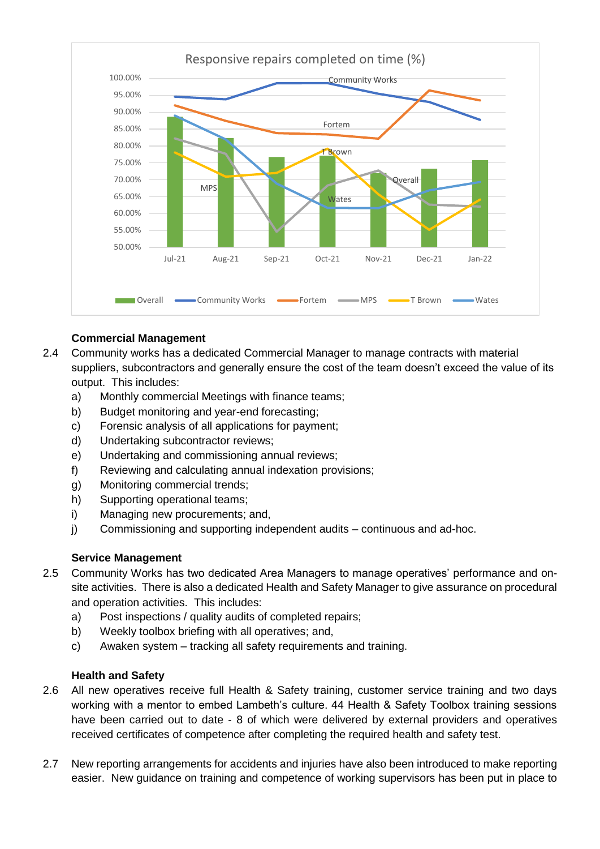

### **Commercial Management**

- 2.4 Community works has a dedicated Commercial Manager to manage contracts with material suppliers, subcontractors and generally ensure the cost of the team doesn't exceed the value of its output. This includes:
	- a) Monthly commercial Meetings with finance teams;
	- b) Budget monitoring and year-end forecasting;
	- c) Forensic analysis of all applications for payment;
	- d) Undertaking subcontractor reviews;
	- e) Undertaking and commissioning annual reviews;
	- f) Reviewing and calculating annual indexation provisions;
	- g) Monitoring commercial trends;
	- h) Supporting operational teams;
	- i) Managing new procurements; and,
	- j) Commissioning and supporting independent audits continuous and ad-hoc.

### **Service Management**

- 2.5 Community Works has two dedicated Area Managers to manage operatives' performance and onsite activities. There is also a dedicated Health and Safety Manager to give assurance on procedural and operation activities. This includes:
	- a) Post inspections / quality audits of completed repairs;
	- b) Weekly toolbox briefing with all operatives; and,
	- c) Awaken system tracking all safety requirements and training.

### **Health and Safety**

- 2.6 All new operatives receive full Health & Safety training, customer service training and two days working with a mentor to embed Lambeth's culture. 44 Health & Safety Toolbox training sessions have been carried out to date - 8 of which were delivered by external providers and operatives received certificates of competence after completing the required health and safety test.
- 2.7 New reporting arrangements for accidents and injuries have also been introduced to make reporting easier. New guidance on training and competence of working supervisors has been put in place to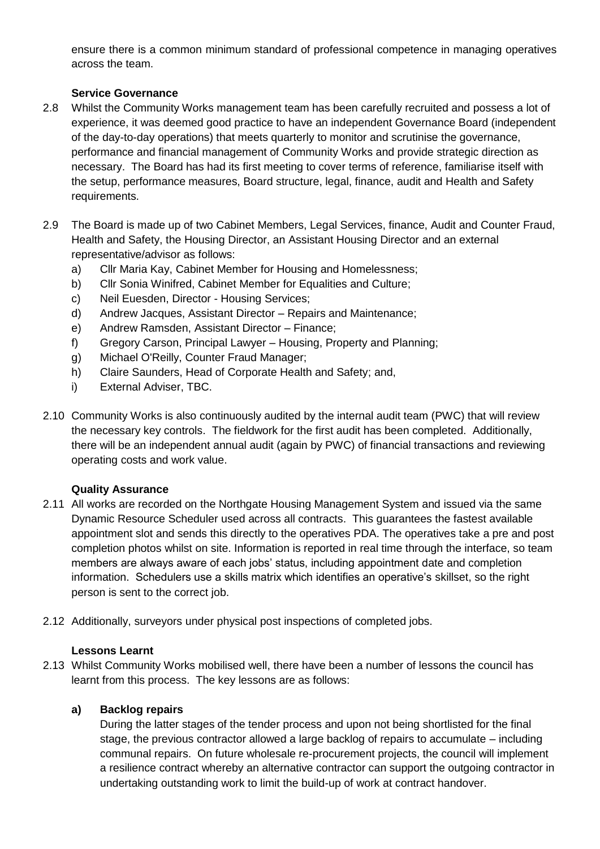ensure there is a common minimum standard of professional competence in managing operatives across the team.

### **Service Governance**

- 2.8 Whilst the Community Works management team has been carefully recruited and possess a lot of experience, it was deemed good practice to have an independent Governance Board (independent of the day-to-day operations) that meets quarterly to monitor and scrutinise the governance, performance and financial management of Community Works and provide strategic direction as necessary. The Board has had its first meeting to cover terms of reference, familiarise itself with the setup, performance measures, Board structure, legal, finance, audit and Health and Safety requirements.
- 2.9 The Board is made up of two Cabinet Members, Legal Services, finance, Audit and Counter Fraud, Health and Safety, the Housing Director, an Assistant Housing Director and an external representative/advisor as follows:
	- a) Cllr Maria Kay, Cabinet Member for Housing and Homelessness;
	- b) Cllr Sonia Winifred, Cabinet Member for Equalities and Culture;
	- c) Neil Euesden, Director Housing Services;
	- d) Andrew Jacques, Assistant Director Repairs and Maintenance;
	- e) Andrew Ramsden, Assistant Director Finance;
	- f) Gregory Carson, Principal Lawyer Housing, Property and Planning;
	- g) Michael O'Reilly, Counter Fraud Manager;
	- h) Claire Saunders, Head of Corporate Health and Safety; and,
	- i) External Adviser, TBC.
- 2.10 Community Works is also continuously audited by the internal audit team (PWC) that will review the necessary key controls. The fieldwork for the first audit has been completed. Additionally, there will be an independent annual audit (again by PWC) of financial transactions and reviewing operating costs and work value.

### **Quality Assurance**

- 2.11 All works are recorded on the Northgate Housing Management System and issued via the same Dynamic Resource Scheduler used across all contracts. This guarantees the fastest available appointment slot and sends this directly to the operatives PDA. The operatives take a pre and post completion photos whilst on site. Information is reported in real time through the interface, so team members are always aware of each jobs' status, including appointment date and completion information. Schedulers use a skills matrix which identifies an operative's skillset, so the right person is sent to the correct job.
- 2.12 Additionally, surveyors under physical post inspections of completed jobs.

### **Lessons Learnt**

2.13 Whilst Community Works mobilised well, there have been a number of lessons the council has learnt from this process. The key lessons are as follows:

### **a) Backlog repairs**

During the latter stages of the tender process and upon not being shortlisted for the final stage, the previous contractor allowed a large backlog of repairs to accumulate – including communal repairs. On future wholesale re-procurement projects, the council will implement a resilience contract whereby an alternative contractor can support the outgoing contractor in undertaking outstanding work to limit the build-up of work at contract handover.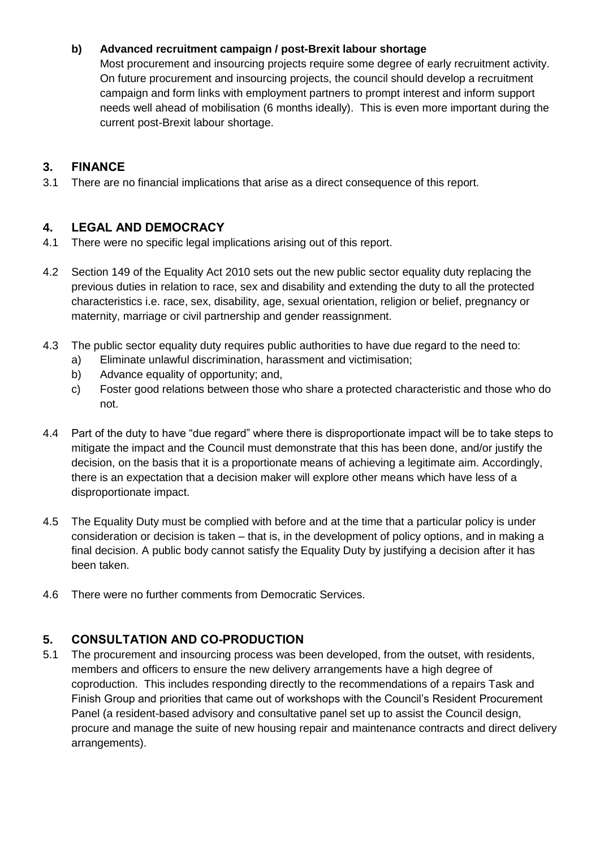### **b) Advanced recruitment campaign / post-Brexit labour shortage**

Most procurement and insourcing projects require some degree of early recruitment activity. On future procurement and insourcing projects, the council should develop a recruitment campaign and form links with employment partners to prompt interest and inform support needs well ahead of mobilisation (6 months ideally). This is even more important during the current post-Brexit labour shortage.

# **3. FINANCE**

3.1 There are no financial implications that arise as a direct consequence of this report.

# **4. LEGAL AND DEMOCRACY**

- 4.1 There were no specific legal implications arising out of this report.
- 4.2 Section 149 of the Equality Act 2010 sets out the new public sector equality duty replacing the previous duties in relation to race, sex and disability and extending the duty to all the protected characteristics i.e. race, sex, disability, age, sexual orientation, religion or belief, pregnancy or maternity, marriage or civil partnership and gender reassignment.
- 4.3 The public sector equality duty requires public authorities to have due regard to the need to:
	- a) Eliminate unlawful discrimination, harassment and victimisation;
	- b) Advance equality of opportunity; and,
	- c) Foster good relations between those who share a protected characteristic and those who do not.
- 4.4 Part of the duty to have "due regard" where there is disproportionate impact will be to take steps to mitigate the impact and the Council must demonstrate that this has been done, and/or justify the decision, on the basis that it is a proportionate means of achieving a legitimate aim. Accordingly, there is an expectation that a decision maker will explore other means which have less of a disproportionate impact.
- 4.5 The Equality Duty must be complied with before and at the time that a particular policy is under consideration or decision is taken – that is, in the development of policy options, and in making a final decision. A public body cannot satisfy the Equality Duty by justifying a decision after it has been taken.
- 4.6 There were no further comments from Democratic Services.

# **5. CONSULTATION AND CO-PRODUCTION**

5.1 The procurement and insourcing process was been developed, from the outset, with residents, members and officers to ensure the new delivery arrangements have a high degree of coproduction. This includes responding directly to the recommendations of a repairs Task and Finish Group and priorities that came out of workshops with the Council's Resident Procurement Panel (a resident-based advisory and consultative panel set up to assist the Council design, procure and manage the suite of new housing repair and maintenance contracts and direct delivery arrangements).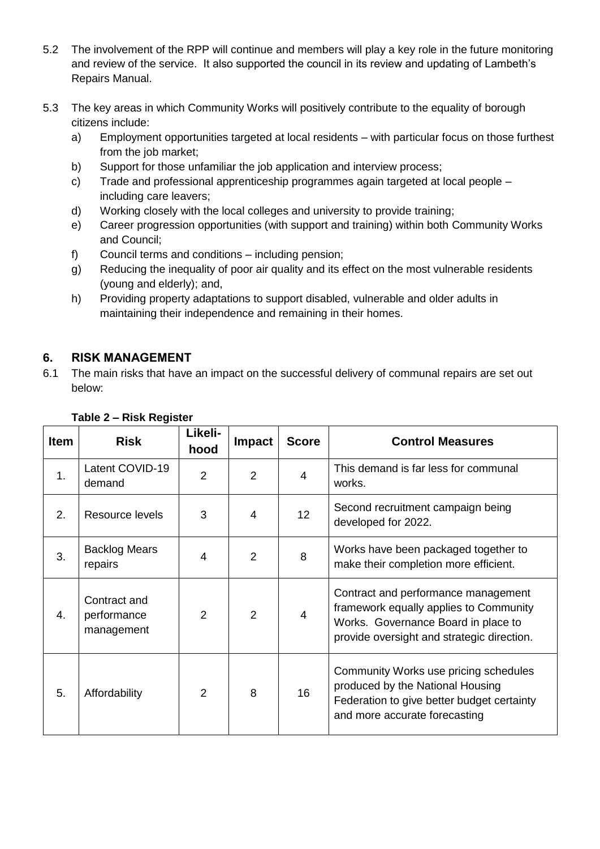- 5.2 The involvement of the RPP will continue and members will play a key role in the future monitoring and review of the service. It also supported the council in its review and updating of Lambeth's Repairs Manual.
- 5.3 The key areas in which Community Works will positively contribute to the equality of borough citizens include:
	- a) Employment opportunities targeted at local residents with particular focus on those furthest from the job market;
	- b) Support for those unfamiliar the job application and interview process;
	- c) Trade and professional apprenticeship programmes again targeted at local people including care leavers;
	- d) Working closely with the local colleges and university to provide training;
	- e) Career progression opportunities (with support and training) within both Community Works and Council;
	- f) Council terms and conditions including pension;
	- g) Reducing the inequality of poor air quality and its effect on the most vulnerable residents (young and elderly); and,
	- h) Providing property adaptations to support disabled, vulnerable and older adults in maintaining their independence and remaining in their homes.

# **6. RISK MANAGEMENT**

6.1 The main risks that have an impact on the successful delivery of communal repairs are set out below:

| <b>Item</b> | <b>Risk</b>                               | Likeli-<br>hood | <b>Impact</b>  | <b>Score</b>    | <b>Control Measures</b>                                                                                                                                            |
|-------------|-------------------------------------------|-----------------|----------------|-----------------|--------------------------------------------------------------------------------------------------------------------------------------------------------------------|
| 1.          | Latent COVID-19<br>demand                 | 2               | $\overline{2}$ | 4               | This demand is far less for communal<br>works.                                                                                                                     |
| 2.          | Resource levels                           | 3               | $\overline{4}$ | 12 <sub>2</sub> | Second recruitment campaign being<br>developed for 2022.                                                                                                           |
| 3.          | <b>Backlog Mears</b><br>repairs           | 4               | 2              | 8               | Works have been packaged together to<br>make their completion more efficient.                                                                                      |
| 4.          | Contract and<br>performance<br>management | $\mathcal{P}$   | 2              | 4               | Contract and performance management<br>framework equally applies to Community<br>Works. Governance Board in place to<br>provide oversight and strategic direction. |
| 5.          | Affordability                             | 2               | 8              | 16              | Community Works use pricing schedules<br>produced by the National Housing<br>Federation to give better budget certainty<br>and more accurate forecasting           |

# **Table 2 – Risk Register**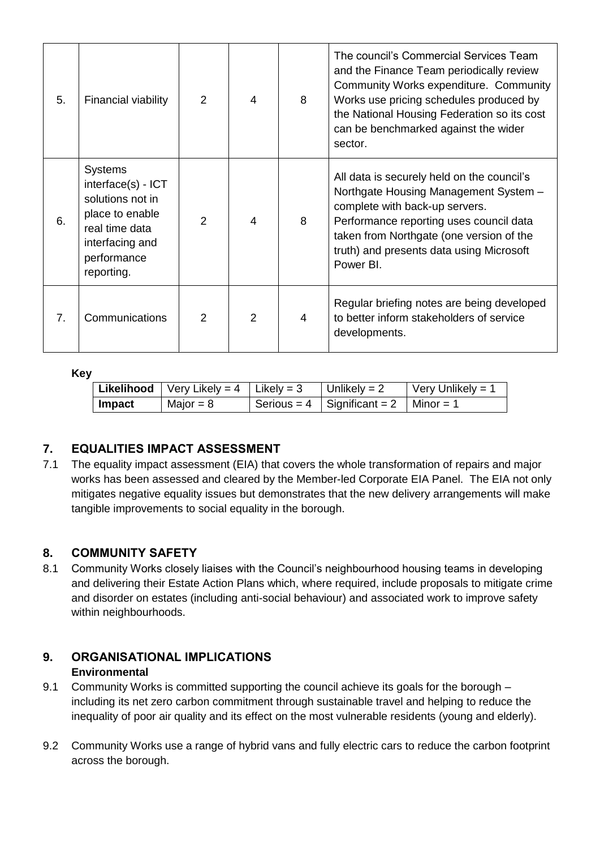| 5.             | Financial viability                                                                                                                           | 2              | 4              | 8 | The council's Commercial Services Team<br>and the Finance Team periodically review<br>Community Works expenditure. Community<br>Works use pricing schedules produced by<br>the National Housing Federation so its cost<br>can be benchmarked against the wider<br>sector. |
|----------------|-----------------------------------------------------------------------------------------------------------------------------------------------|----------------|----------------|---|---------------------------------------------------------------------------------------------------------------------------------------------------------------------------------------------------------------------------------------------------------------------------|
| 6.             | <b>Systems</b><br>interface(s) - ICT<br>solutions not in<br>place to enable<br>real time data<br>interfacing and<br>performance<br>reporting. | $\overline{2}$ | $\overline{4}$ | 8 | All data is securely held on the council's<br>Northgate Housing Management System -<br>complete with back-up servers.<br>Performance reporting uses council data<br>taken from Northgate (one version of the<br>truth) and presents data using Microsoft<br>Power BI.     |
| 7 <sub>1</sub> | Communications                                                                                                                                | $\mathcal{P}$  | 2              | 4 | Regular briefing notes are being developed<br>to better inform stakeholders of service<br>developments.                                                                                                                                                                   |

### **Key**

|        | <b>Likelihood</b>   Very Likely = 4   Likely = 3 | Unlikely = 2                              | Very Unlikely = 1 |
|--------|--------------------------------------------------|-------------------------------------------|-------------------|
| Impact | Major = $8$                                      | Serious = 4   Significant = 2   Minor = 1 |                   |

# **7. EQUALITIES IMPACT ASSESSMENT**

7.1 The equality impact assessment (EIA) that covers the whole transformation of repairs and major works has been assessed and cleared by the Member-led Corporate EIA Panel. The EIA not only mitigates negative equality issues but demonstrates that the new delivery arrangements will make tangible improvements to social equality in the borough.

# **8. COMMUNITY SAFETY**

8.1 Community Works closely liaises with the Council's neighbourhood housing teams in developing and delivering their Estate Action Plans which, where required, include proposals to mitigate crime and disorder on estates (including anti-social behaviour) and associated work to improve safety within neighbourhoods.

### **9. ORGANISATIONAL IMPLICATIONS Environmental**

- 9.1 Community Works is committed supporting the council achieve its goals for the borough including its net zero carbon commitment through sustainable travel and helping to reduce the inequality of poor air quality and its effect on the most vulnerable residents (young and elderly).
- 9.2 Community Works use a range of hybrid vans and fully electric cars to reduce the carbon footprint across the borough.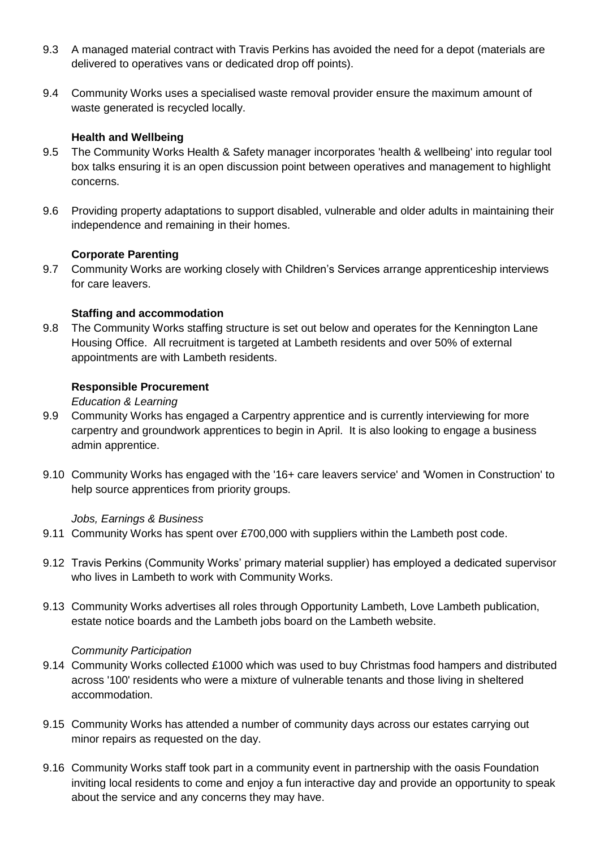- 9.3 A managed material contract with Travis Perkins has avoided the need for a depot (materials are delivered to operatives vans or dedicated drop off points).
- 9.4 Community Works uses a specialised waste removal provider ensure the maximum amount of waste generated is recycled locally.

### **Health and Wellbeing**

- 9.5 The Community Works Health & Safety manager incorporates 'health & wellbeing' into regular tool box talks ensuring it is an open discussion point between operatives and management to highlight concerns.
- 9.6 Providing property adaptations to support disabled, vulnerable and older adults in maintaining their independence and remaining in their homes.

### **Corporate Parenting**

9.7 Community Works are working closely with Children's Services arrange apprenticeship interviews for care leavers.

### **Staffing and accommodation**

9.8 The Community Works staffing structure is set out below and operates for the Kennington Lane Housing Office. All recruitment is targeted at Lambeth residents and over 50% of external appointments are with Lambeth residents.

### **Responsible Procurement**

*Education & Learning*

- 9.9 Community Works has engaged a Carpentry apprentice and is currently interviewing for more carpentry and groundwork apprentices to begin in April. It is also looking to engage a business admin apprentice.
- 9.10 Community Works has engaged with the '16+ care leavers service' and 'Women in Construction' to help source apprentices from priority groups.

#### *Jobs, Earnings & Business*

- 9.11 Community Works has spent over £700,000 with suppliers within the Lambeth post code.
- 9.12 Travis Perkins (Community Works' primary material supplier) has employed a dedicated supervisor who lives in Lambeth to work with Community Works.
- 9.13 Community Works advertises all roles through Opportunity Lambeth, Love Lambeth publication, estate notice boards and the Lambeth jobs board on the Lambeth website.

### *Community Participation*

- 9.14 Community Works collected £1000 which was used to buy Christmas food hampers and distributed across '100' residents who were a mixture of vulnerable tenants and those living in sheltered accommodation.
- 9.15 Community Works has attended a number of community days across our estates carrying out minor repairs as requested on the day.
- 9.16 Community Works staff took part in a community event in partnership with the oasis Foundation inviting local residents to come and enjoy a fun interactive day and provide an opportunity to speak about the service and any concerns they may have.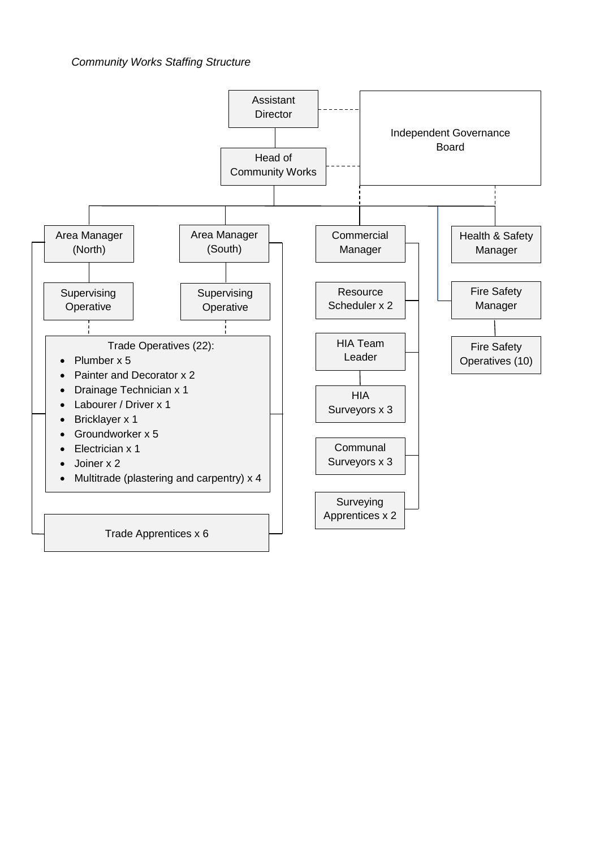